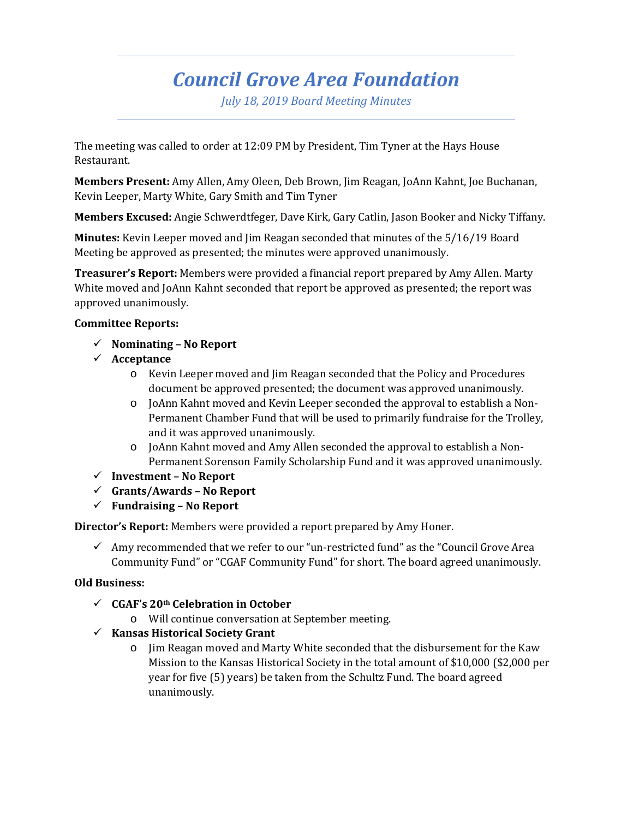# *Council Grove Area Foundation*

*July 18, 2019 Board Meeting Minutes*

The meeting was called to order at 12:09 PM by President, Tim Tyner at the Hays House Restaurant.

**Members Present:** Amy Allen, Amy Oleen, Deb Brown, Jim Reagan, JoAnn Kahnt, Joe Buchanan, Kevin Leeper, Marty White, Gary Smith and Tim Tyner

**Members Excused:** Angie Schwerdtfeger, Dave Kirk, Gary Catlin, Jason Booker and Nicky Tiffany.

**Minutes:** Kevin Leeper moved and Jim Reagan seconded that minutes of the 5/16/19 Board Meeting be approved as presented; the minutes were approved unanimously.

**Treasurer's Report:** Members were provided a financial report prepared by Amy Allen. Marty White moved and JoAnn Kahnt seconded that report be approved as presented; the report was approved unanimously.

# **Committee Reports:**

- **Nominating – No Report**
- **Acceptance** 
	- o Kevin Leeper moved and Jim Reagan seconded that the Policy and Procedures document be approved presented; the document was approved unanimously.
	- o JoAnn Kahnt moved and Kevin Leeper seconded the approval to establish a Non-Permanent Chamber Fund that will be used to primarily fundraise for the Trolley, and it was approved unanimously.
	- o JoAnn Kahnt moved and Amy Allen seconded the approval to establish a Non-Permanent Sorenson Family Scholarship Fund and it was approved unanimously.
- **Investment – No Report**
- **Grants/Awards – No Report**
- **Fundraising – No Report**

**Director's Report:** Members were provided a report prepared by Amy Honer.

 $\checkmark$  Amy recommended that we refer to our "un-restricted fund" as the "Council Grove Area Community Fund" or "CGAF Community Fund" for short. The board agreed unanimously.

### **Old Business:**

- **CGAF's 20th Celebration in October**
	- o Will continue conversation at September meeting.
- **Kansas Historical Society Grant**
	- o Jim Reagan moved and Marty White seconded that the disbursement for the Kaw Mission to the Kansas Historical Society in the total amount of \$10,000 (\$2,000 per year for five (5) years) be taken from the Schultz Fund. The board agreed unanimously.